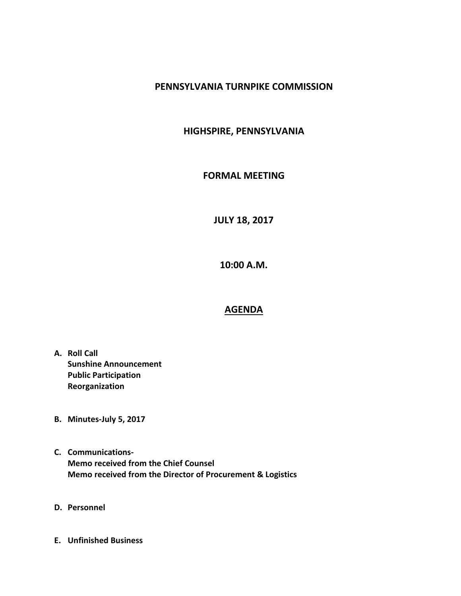## **PENNSYLVANIA TURNPIKE COMMISSION**

## **HIGHSPIRE, PENNSYLVANIA**

## **FORMAL MEETING**

**JULY 18, 2017**

**10:00 A.M.**

## **AGENDA**

- **A. Roll Call Sunshine Announcement Public Participation Reorganization**
- **B. Minutes-July 5, 2017**
- **C. Communications-Memo received from the Chief Counsel Memo received from the Director of Procurement & Logistics**
- **D. Personnel**
- **E. Unfinished Business**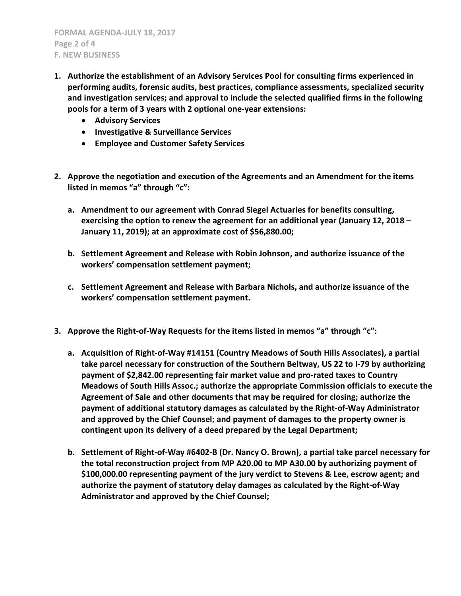- **1. Authorize the establishment of an Advisory Services Pool for consulting firms experienced in performing audits, forensic audits, best practices, compliance assessments, specialized security and investigation services; and approval to include the selected qualified firms in the following pools for a term of 3 years with 2 optional one-year extensions:**
	- **Advisory Services**
	- **Investigative & Surveillance Services**
	- **Employee and Customer Safety Services**
- **2. Approve the negotiation and execution of the Agreements and an Amendment for the items listed in memos "a" through "c":**
	- **a. Amendment to our agreement with Conrad Siegel Actuaries for benefits consulting, exercising the option to renew the agreement for an additional year (January 12, 2018 – January 11, 2019); at an approximate cost of \$56,880.00;**
	- **b. Settlement Agreement and Release with Robin Johnson, and authorize issuance of the workers' compensation settlement payment;**
	- **c. Settlement Agreement and Release with Barbara Nichols, and authorize issuance of the workers' compensation settlement payment.**
- **3. Approve the Right-of-Way Requests for the items listed in memos "a" through "c":**
	- **a. Acquisition of Right-of-Way #14151 (Country Meadows of South Hills Associates), a partial take parcel necessary for construction of the Southern Beltway, US 22 to I-79 by authorizing payment of \$2,842.00 representing fair market value and pro-rated taxes to Country Meadows of South Hills Assoc.; authorize the appropriate Commission officials to execute the Agreement of Sale and other documents that may be required for closing; authorize the payment of additional statutory damages as calculated by the Right-of-Way Administrator and approved by the Chief Counsel; and payment of damages to the property owner is contingent upon its delivery of a deed prepared by the Legal Department;**
	- **b. Settlement of Right-of-Way #6402-B (Dr. Nancy O. Brown), a partial take parcel necessary for the total reconstruction project from MP A20.00 to MP A30.00 by authorizing payment of \$100,000.00 representing payment of the jury verdict to Stevens & Lee, escrow agent; and authorize the payment of statutory delay damages as calculated by the Right-of-Way Administrator and approved by the Chief Counsel;**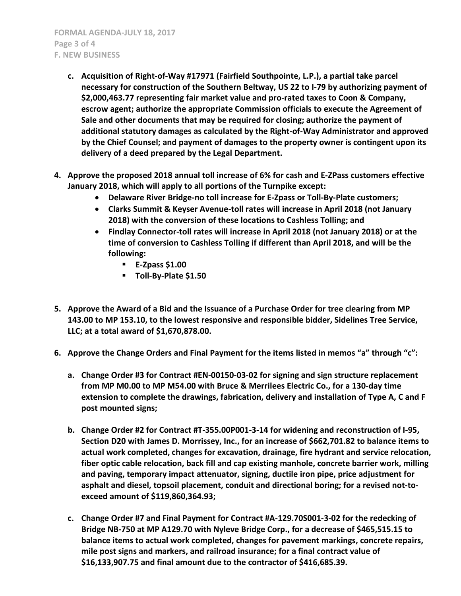- **c. Acquisition of Right-of-Way #17971 (Fairfield Southpointe, L.P.), a partial take parcel necessary for construction of the Southern Beltway, US 22 to I-79 by authorizing payment of \$2,000,463.77 representing fair market value and pro-rated taxes to Coon & Company, escrow agent; authorize the appropriate Commission officials to execute the Agreement of Sale and other documents that may be required for closing; authorize the payment of additional statutory damages as calculated by the Right-of-Way Administrator and approved by the Chief Counsel; and payment of damages to the property owner is contingent upon its delivery of a deed prepared by the Legal Department.**
- **4. Approve the proposed 2018 annual toll increase of 6% for cash and E-ZPass customers effective January 2018, which will apply to all portions of the Turnpike except:**
	- **Delaware River Bridge-no toll increase for E-Zpass or Toll-By-Plate customers;**
	- **Clarks Summit & Keyser Avenue-toll rates will increase in April 2018 (not January 2018) with the conversion of these locations to Cashless Tolling; and**
	- **Findlay Connector-toll rates will increase in April 2018 (not January 2018) or at the time of conversion to Cashless Tolling if different than April 2018, and will be the following:**
		- **E-Zpass \$1.00**
		- **Toll-By-Plate \$1.50**
- **5. Approve the Award of a Bid and the Issuance of a Purchase Order for tree clearing from MP 143.00 to MP 153.10, to the lowest responsive and responsible bidder, Sidelines Tree Service, LLC; at a total award of \$1,670,878.00.**
- **6. Approve the Change Orders and Final Payment for the items listed in memos "a" through "c":**
	- **a. Change Order #3 for Contract #EN-00150-03-02 for signing and sign structure replacement from MP M0.00 to MP M54.00 with Bruce & Merrilees Electric Co., for a 130-day time extension to complete the drawings, fabrication, delivery and installation of Type A, C and F post mounted signs;**
	- **b. Change Order #2 for Contract #T-355.00P001-3-14 for widening and reconstruction of I-95, Section D20 with James D. Morrissey, Inc., for an increase of \$662,701.82 to balance items to actual work completed, changes for excavation, drainage, fire hydrant and service relocation, fiber optic cable relocation, back fill and cap existing manhole, concrete barrier work, milling and paving, temporary impact attenuator, signing, ductile iron pipe, price adjustment for asphalt and diesel, topsoil placement, conduit and directional boring; for a revised not-toexceed amount of \$119,860,364.93;**
	- **c. Change Order #7 and Final Payment for Contract #A-129.70S001-3-02 for the redecking of Bridge NB-750 at MP A129.70 with Nyleve Bridge Corp., for a decrease of \$465,515.15 to balance items to actual work completed, changes for pavement markings, concrete repairs, mile post signs and markers, and railroad insurance; for a final contract value of \$16,133,907.75 and final amount due to the contractor of \$416,685.39.**